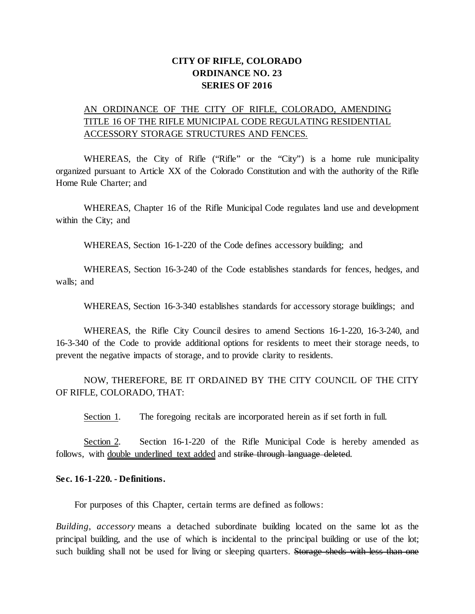## **CITY OF RIFLE, COLORADO ORDINANCE NO. 23 SERIES OF 2016**

# AN ORDINANCE OF THE CITY OF RIFLE, COLORADO, AMENDING TITLE 16 OF THE RIFLE MUNICIPAL CODE REGULATING RESIDENTIAL ACCESSORY STORAGE STRUCTURES AND FENCES.

WHEREAS, the City of Rifle ("Rifle" or the "City") is a home rule municipality organized pursuant to Article XX of the Colorado Constitution and with the authority of the Rifle Home Rule Charter; and

WHEREAS, Chapter 16 of the Rifle Municipal Code regulates land use and development within the City; and

WHEREAS, Section 16-1-220 of the Code defines accessory building; and

WHEREAS, Section 16-3-240 of the Code establishes standards for fences, hedges, and walls; and

WHEREAS, Section 16-3-340 establishes standards for accessory storage buildings; and

WHEREAS, the Rifle City Council desires to amend Sections 16-1-220, 16-3-240, and 16-3-340 of the Code to provide additional options for residents to meet their storage needs, to prevent the negative impacts of storage, and to provide clarity to residents.

NOW, THEREFORE, BE IT ORDAINED BY THE CITY COUNCIL OF THE CITY OF RIFLE, COLORADO, THAT:

Section 1. The foregoing recitals are incorporated herein as if set forth in full.

Section 2. Section 16-1-220 of the Rifle Municipal Code is hereby amended as follows, with double underlined text added and strike through language deleted.

#### **Sec. 16-1-220. - Definitions.**

For purposes of this Chapter, certain terms are defined as follows:

*Building, accessory* means a detached subordinate building located on the same lot as the principal building, and the use of which is incidental to the principal building or use of the lot; such building shall not be used for living or sleeping quarters. Storage sheds with less than one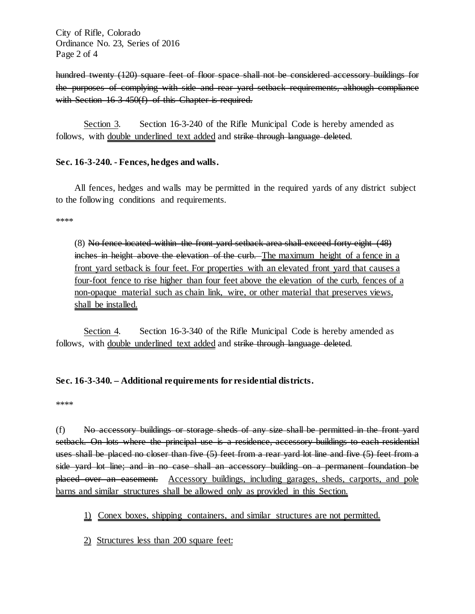City of Rifle, Colorado Ordinance No. 23, Series of 2016 Page 2 of 4

hundred twenty (120) square feet of floor space shall not be considered accessory buildings for the purposes of complying with side and rear yard setback requirements, although compliance with [Section 16-3-450\(f](https://www.municode.com/library/co/rifle/codes/charter_and_municipal_code?nodeId=CH16LAUSDE_ARTIIIZO_DIV4COINZODI_S16-3-450ADRECOINDI)) of this Chapter is required.

Section 3. Section 16-3-240 of the Rifle Municipal Code is hereby amended as follows, with double underlined text added and strike through language deleted.

### **Sec. 16-3-240. - Fences, hedges and walls.**

All fences, hedges and walls may be permitted in the required yards of any district subject to the following conditions and requirements.

\*\*\*\*

(8) No fence located within the front yard setback area shall exceed forty-eight (48) inches in height above the elevation of the curb. The maximum height of a fence in a front yard setback is four feet. For properties with an elevated front yard that causes a four-foot fence to rise higher than four feet above the elevation of the curb, fences of a non-opaque material such as chain link, wire, or other material that preserves views, shall be installed.

Section 4. Section 16-3-340 of the Rifle Municipal Code is hereby amended as follows, with double underlined text added and strike through language deleted.

### **Sec. 16-3-340. – Additional requirements for residential districts.**

\*\*\*\*

(f) No accessory buildings or storage sheds of any size shall be permitted in the front yard setback. On lots where the principal use is a residence, accessory buildings to each residential uses shall be placed no closer than five (5) feet from a rear yard lot line and five (5) feet from a side yard lot line; and in no case shall an accessory building on a permanent foundation be placed over an easement. Accessory buildings, including garages, sheds, carports, and pole barns and similar structures shall be allowed only as provided in this Section.

### 1) Conex boxes, shipping containers, and similar structures are not permitted.

2) Structures less than 200 square feet: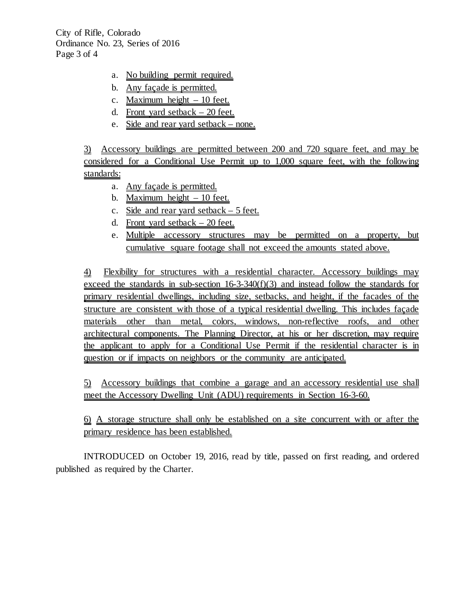City of Rifle, Colorado Ordinance No. 23, Series of 2016 Page 3 of 4

- a. No building permit required.
- b. Any façade is permitted.
- c. Maximum height 10 feet.
- d. Front yard setback 20 feet.
- e. Side and rear yard setback none.

3) Accessory buildings are permitted between 200 and 720 square feet, and may be considered for a Conditional Use Permit up to 1,000 square feet, with the following standards:

- a. Any façade is permitted.
- b. Maximum height  $-10$  feet.
- c. Side and rear yard setback 5 feet.
- d. Front yard setback 20 feet.
- e. Multiple accessory structures may be permitted on a property, but cumulative square footage shall not exceed the amounts stated above.

4) Flexibility for structures with a residential character. Accessory buildings may exceed the standards in sub-section 16-3-340(f)(3) and instead follow the standards for primary residential dwellings, including size, setbacks, and height, if the facades of the structure are consistent with those of a typical residential dwelling. This includes façade materials other than metal, colors, windows, non-reflective roofs, and other architectural components. The Planning Director, at his or her discretion, may require the applicant to apply for a Conditional Use Permit if the residential character is in question or if impacts on neighbors or the community are anticipated.

5) Accessory buildings that combine a garage and an accessory residential use shall meet the Accessory Dwelling Unit (ADU) requirements in Section 16-3-60.

6) A storage structure shall only be established on a site concurrent with or after the primary residence has been established.

INTRODUCED on October 19, 2016, read by title, passed on first reading, and ordered published as required by the Charter.